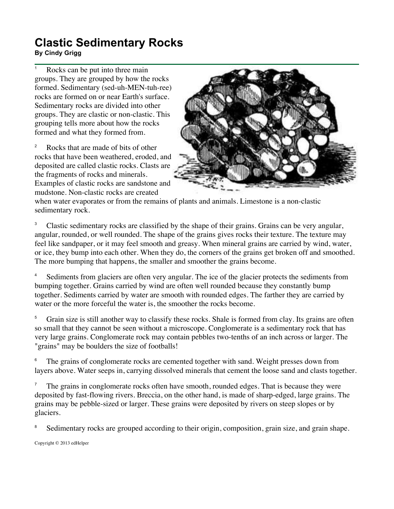## **Clastic Sedimentary Rocks**

## **By Cindy Grigg**

Rocks can be put into three main groups. They are grouped by how the rocks formed. Sedimentary (sed-uh-MEN-tuh-ree) rocks are formed on or near Earth's surface. Sedimentary rocks are divided into other groups. They are clastic or non-clastic. This grouping tells more about how the rocks formed and what they formed from.

<sup>2</sup> Rocks that are made of bits of other rocks that have been weathered, eroded, and deposited are called clastic rocks. Clasts are the fragments of rocks and minerals. Examples of clastic rocks are sandstone and mudstone. Non-clastic rocks are created



when water evaporates or from the remains of plants and animals. Limestone is a non-clastic sedimentary rock.

<sup>3</sup> Clastic sedimentary rocks are classified by the shape of their grains. Grains can be very angular, angular, rounded, or well rounded. The shape of the grains gives rocks their texture. The texture may feel like sandpaper, or it may feel smooth and greasy. When mineral grains are carried by wind, water, or ice, they bump into each other. When they do, the corners of the grains get broken off and smoothed. The more bumping that happens, the smaller and smoother the grains become.

<sup>4</sup> Sediments from glaciers are often very angular. The ice of the glacier protects the sediments from bumping together. Grains carried by wind are often well rounded because they constantly bump together. Sediments carried by water are smooth with rounded edges. The farther they are carried by water or the more forceful the water is, the smoother the rocks become.

<sup>5</sup> Grain size is still another way to classify these rocks. Shale is formed from clay. Its grains are often so small that they cannot be seen without a microscope. Conglomerate is a sedimentary rock that has very large grains. Conglomerate rock may contain pebbles two-tenths of an inch across or larger. The "grains" may be boulders the size of footballs!

The grains of conglomerate rocks are cemented together with sand. Weight presses down from layers above. Water seeps in, carrying dissolved minerals that cement the loose sand and clasts together.

 $<sup>7</sup>$  The grains in conglomerate rocks often have smooth, rounded edges. That is because they were</sup> deposited by fast-flowing rivers. Breccia, on the other hand, is made of sharp-edged, large grains. The grains may be pebble-sized or larger. These grains were deposited by rivers on steep slopes or by glaciers.

Sedimentary rocks are grouped according to their origin, composition, grain size, and grain shape.